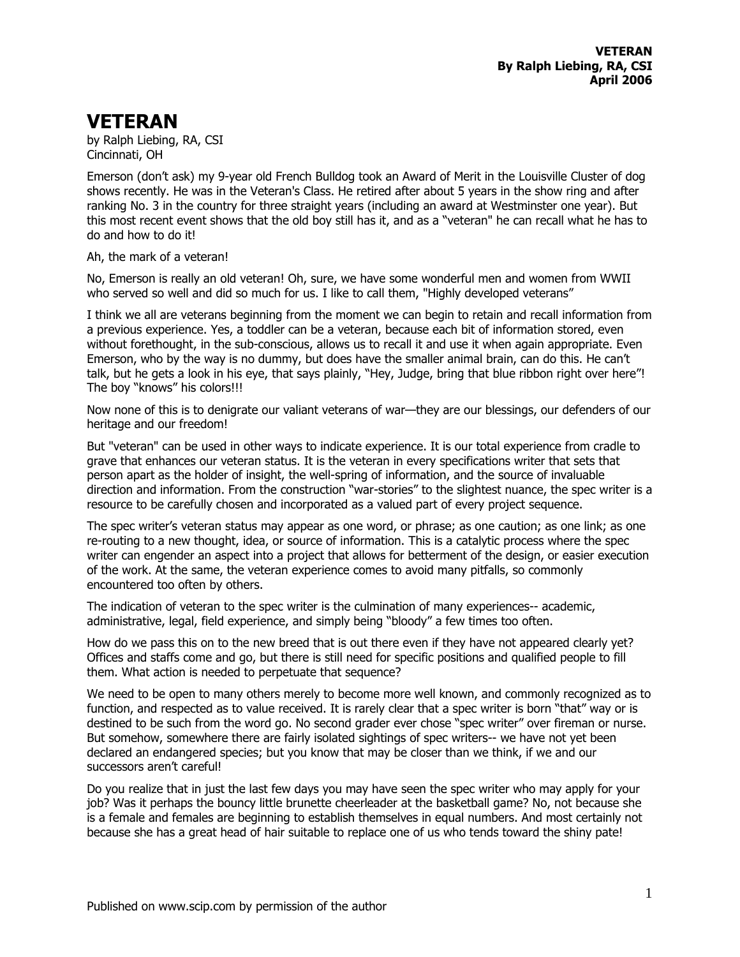## **VETERAN**

by Ralph Liebing, RA, CSI Cincinnati, OH

Emerson (don't ask) my 9-year old French Bulldog took an Award of Merit in the Louisville Cluster of dog shows recently. He was in the Veteran's Class. He retired after about 5 years in the show ring and after ranking No. 3 in the country for three straight years (including an award at Westminster one year). But this most recent event shows that the old boy still has it, and as a "veteran" he can recall what he has to do and how to do it!

## Ah, the mark of a veteran!

No, Emerson is really an old veteran! Oh, sure, we have some wonderful men and women from WWII who served so well and did so much for us. I like to call them, "Highly developed veterans"

I think we all are veterans beginning from the moment we can begin to retain and recall information from a previous experience. Yes, a toddler can be a veteran, because each bit of information stored, even without forethought, in the sub-conscious, allows us to recall it and use it when again appropriate. Even Emerson, who by the way is no dummy, but does have the smaller animal brain, can do this. He can't talk, but he gets a look in his eye, that says plainly, "Hey, Judge, bring that blue ribbon right over here"! The boy "knows" his colors!!!

Now none of this is to denigrate our valiant veterans of war—they are our blessings, our defenders of our heritage and our freedom!

But "veteran" can be used in other ways to indicate experience. It is our total experience from cradle to grave that enhances our veteran status. It is the veteran in every specifications writer that sets that person apart as the holder of insight, the well-spring of information, and the source of invaluable direction and information. From the construction "war-stories" to the slightest nuance, the spec writer is a resource to be carefully chosen and incorporated as a valued part of every project sequence.

The spec writer's veteran status may appear as one word, or phrase; as one caution; as one link; as one re-routing to a new thought, idea, or source of information. This is a catalytic process where the spec writer can engender an aspect into a project that allows for betterment of the design, or easier execution of the work. At the same, the veteran experience comes to avoid many pitfalls, so commonly encountered too often by others.

The indication of veteran to the spec writer is the culmination of many experiences-- academic, administrative, legal, field experience, and simply being "bloody" a few times too often.

How do we pass this on to the new breed that is out there even if they have not appeared clearly yet? Offices and staffs come and go, but there is still need for specific positions and qualified people to fill them. What action is needed to perpetuate that sequence?

We need to be open to many others merely to become more well known, and commonly recognized as to function, and respected as to value received. It is rarely clear that a spec writer is born "that" way or is destined to be such from the word go. No second grader ever chose "spec writer" over fireman or nurse. But somehow, somewhere there are fairly isolated sightings of spec writers-- we have not yet been declared an endangered species; but you know that may be closer than we think, if we and our successors aren't careful!

Do you realize that in just the last few days you may have seen the spec writer who may apply for your job? Was it perhaps the bouncy little brunette cheerleader at the basketball game? No, not because she is a female and females are beginning to establish themselves in equal numbers. And most certainly not because she has a great head of hair suitable to replace one of us who tends toward the shiny pate!